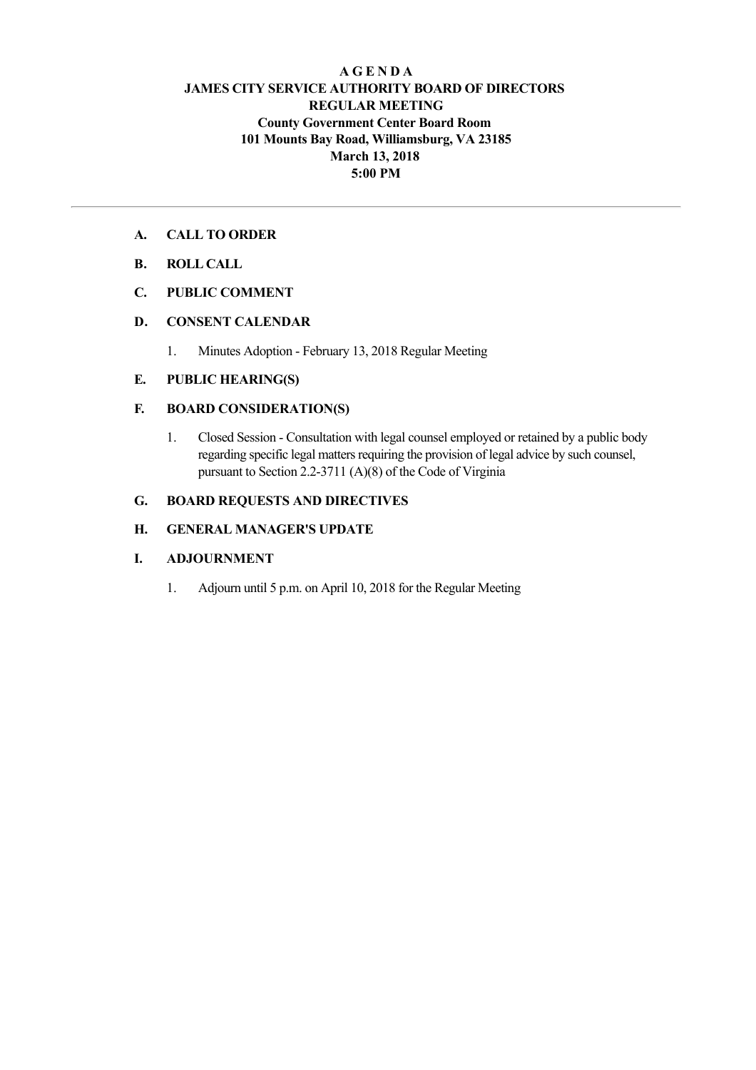# **A G E N D A JAMES CITY SERVICE AUTHORITY BOARD OF DIRECTORS REGULAR MEETING County Government Center Board Room 101 Mounts Bay Road, Williamsburg, VA 23185 March 13, 2018 5:00 PM**

## **A. CALL TO ORDER**

- **B. ROLL CALL**
- **C. PUBLIC COMMENT**

#### **D. CONSENT CALENDAR**

1. Minutes Adoption February 13, 2018 Regular Meeting

#### **E. PUBLIC HEARING(S)**

## **F. BOARD CONSIDERATION(S)**

1. Closed Session Consultation with legal counsel employed or retained by a public body regarding specific legal matters requiring the provision of legal advice by such counsel, pursuant to Section 2.2-3711  $(A)(8)$  of the Code of Virginia

### **G. BOARD REQUESTS AND DIRECTIVES**

# **H. GENERAL MANAGER'S UPDATE**

#### **I. ADJOURNMENT**

1. Adjourn until 5 p.m. on April 10, 2018 for the Regular Meeting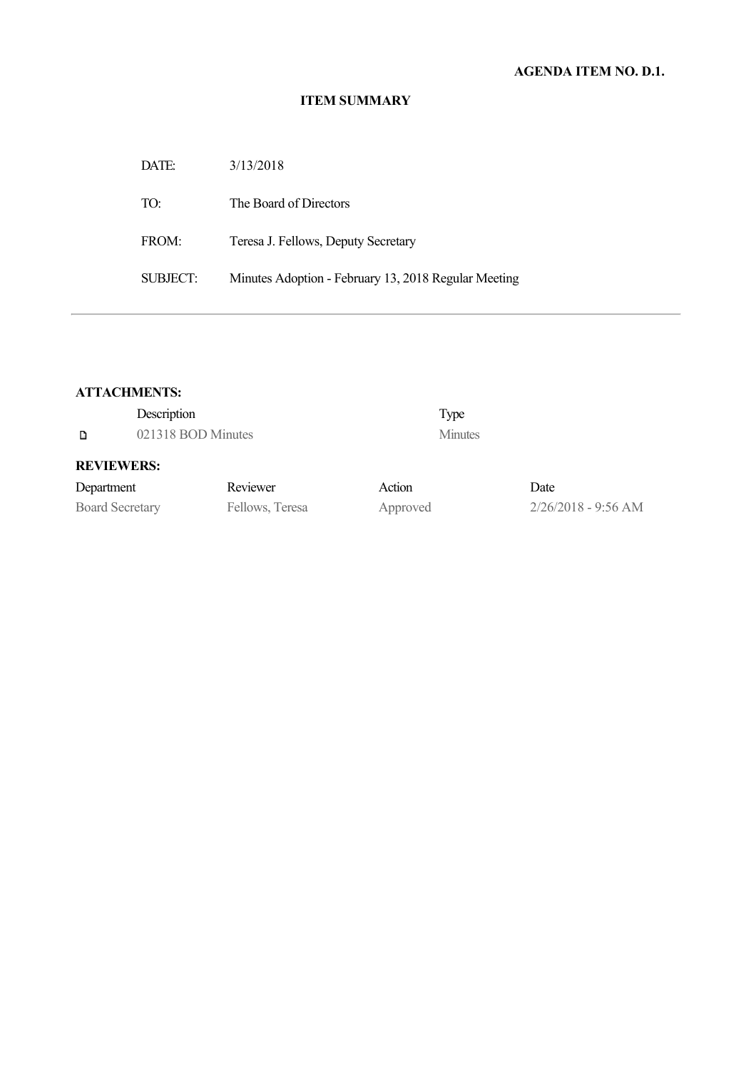# **ITEM SUMMARY**

| 3/13/2018                                            |
|------------------------------------------------------|
| The Board of Directors                               |
| Teresa J. Fellows, Deputy Secretary                  |
| Minutes Adoption - February 13, 2018 Regular Meeting |
|                                                      |

#### **ATTACHMENTS:**

| D                      | Description<br>021318 BOD Minutes |                 |          | Type<br><b>Minutes</b> |                       |
|------------------------|-----------------------------------|-----------------|----------|------------------------|-----------------------|
| <b>REVIEWERS:</b>      |                                   |                 |          |                        |                       |
| Department             |                                   | Reviewer        | Action   |                        | Date                  |
| <b>Board Secretary</b> |                                   | Fellows, Teresa | Approved |                        | $2/26/2018 - 9:56$ AM |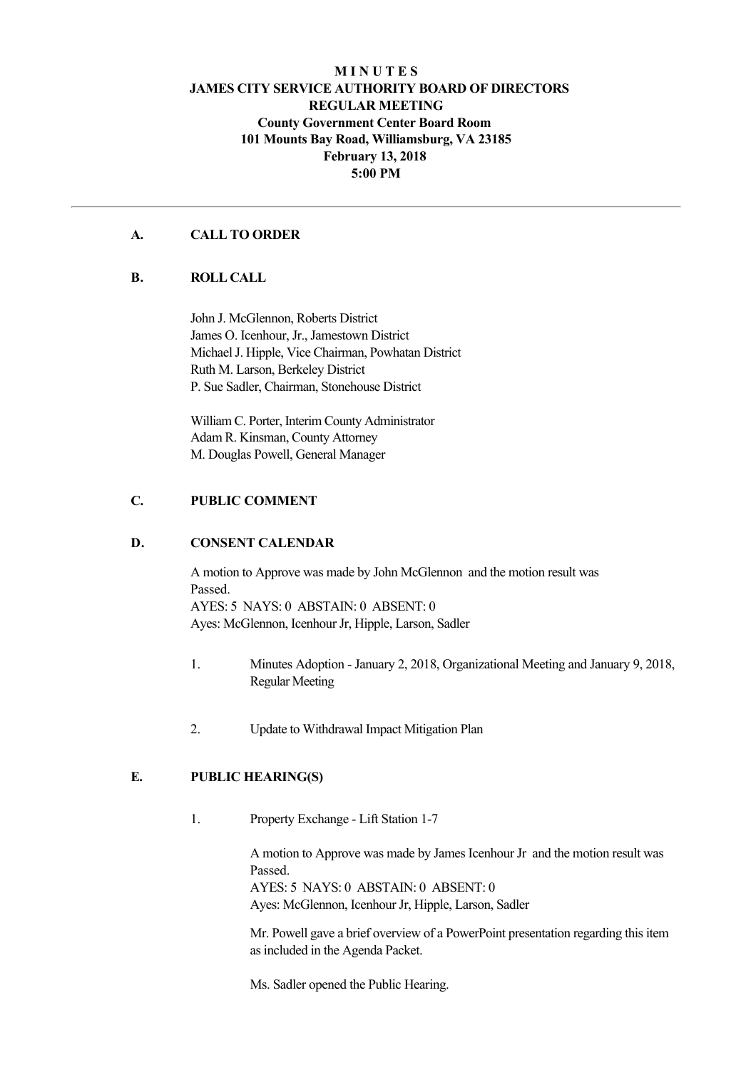# **M I N U T E S JAMES CITY SERVICE AUTHORITY BOARD OF DIRECTORS REGULAR MEETING County Government Center Board Room 101 Mounts Bay Road, Williamsburg, VA 23185 February 13, 2018 5:00 PM**

## **A. CALL TO ORDER**

#### **B. ROLL CALL**

John J. McGlennon, Roberts District James O. Icenhour, Jr., Jamestown District Michael J. Hipple, Vice Chairman, Powhatan District Ruth M. Larson, Berkeley District P. Sue Sadler, Chairman, Stonehouse District

William C. Porter, Interim County Administrator Adam R. Kinsman, County Attorney M. Douglas Powell, General Manager

## **C. PUBLIC COMMENT**

#### **D. CONSENT CALENDAR**

A motion to Approve was made by John McGlennon and the motion result was Passed. AYES: 5 NAYS: 0 ABSTAIN: 0 ABSENT: 0 Ayes: McGlennon, Icenhour Jr, Hipple, Larson, Sadler

- 1. Minutes Adoption January 2, 2018, Organizational Meeting and January 9, 2018, Regular Meeting
- 2. Update to Withdrawal Impact Mitigation Plan

# **E. PUBLIC HEARING(S)**

1. Property Exchange - Lift Station 1-7

A motion to Approve was made by James Icenhour Jr and the motion result was Passed. AYES: 5 NAYS: 0 ABSTAIN: 0 ABSENT: 0

Ayes: McGlennon, Icenhour Jr, Hipple, Larson, Sadler

Mr. Powell gave a brief overview of a PowerPoint presentation regarding this item as included in the Agenda Packet.

Ms. Sadler opened the Public Hearing.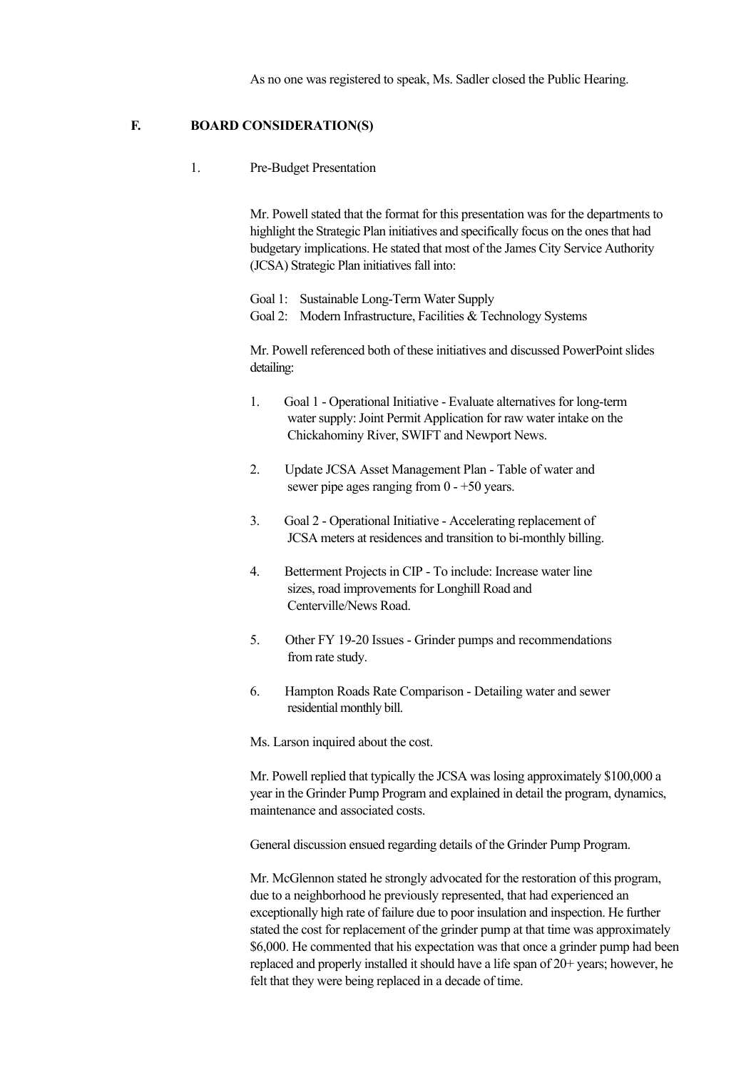As no one was registered to speak, Ms. Sadler closed the Public Hearing.

#### **F. BOARD CONSIDERATION(S)**

1. Pre-Budget Presentation

Mr. Powell stated that the format for this presentation was for the departments to highlight the Strategic Plan initiatives and specifically focus on the ones that had budgetary implications. He stated that most of the James City Service Authority (JCSA) Strategic Plan initiatives fall into:

Goal 1: Sustainable Long-Term Water Supply Goal 2: Modern Infrastructure, Facilities & Technology Systems

Mr. Powell referenced both of these initiatives and discussed PowerPoint slides detailing:

- 1. Goal 1 Operational Initiative Evaluate alternatives for long-term water supply: Joint Permit Application for raw water intake on the Chickahominy River, SWIFT and Newport News.
- 2. Update JCSA Asset Management Plan Table of water and sewer pipe ages ranging from  $0 - +50$  years.
- 3. Goal 2 Operational Initiative Accelerating replacement of JCSA meters at residences and transition to bi-monthly billing.
- 4. Betterment Projects in CIP To include: Increase water line sizes, road improvements for Longhill Road and Centerville/News Road.
- 5. Other FY 19-20 Issues Grinder pumps and recommendations from rate study.
- 6. Hampton Roads Rate Comparison Detailing water and sewer residential monthly bill.

Ms. Larson inquired about the cost.

Mr. Powell replied that typically the JCSA was losing approximately \$100,000 a year in the Grinder Pump Program and explained in detail the program, dynamics, maintenance and associated costs.

General discussion ensued regarding details of the Grinder Pump Program.

Mr. McGlennon stated he strongly advocated for the restoration of this program, due to a neighborhood he previously represented, that had experienced an exceptionally high rate of failure due to poor insulation and inspection. He further stated the cost for replacement of the grinder pump at that time was approximately \$6,000. He commented that his expectation was that once a grinder pump had been replaced and properly installed it should have a life span of 20+ years; however, he felt that they were being replaced in a decade of time.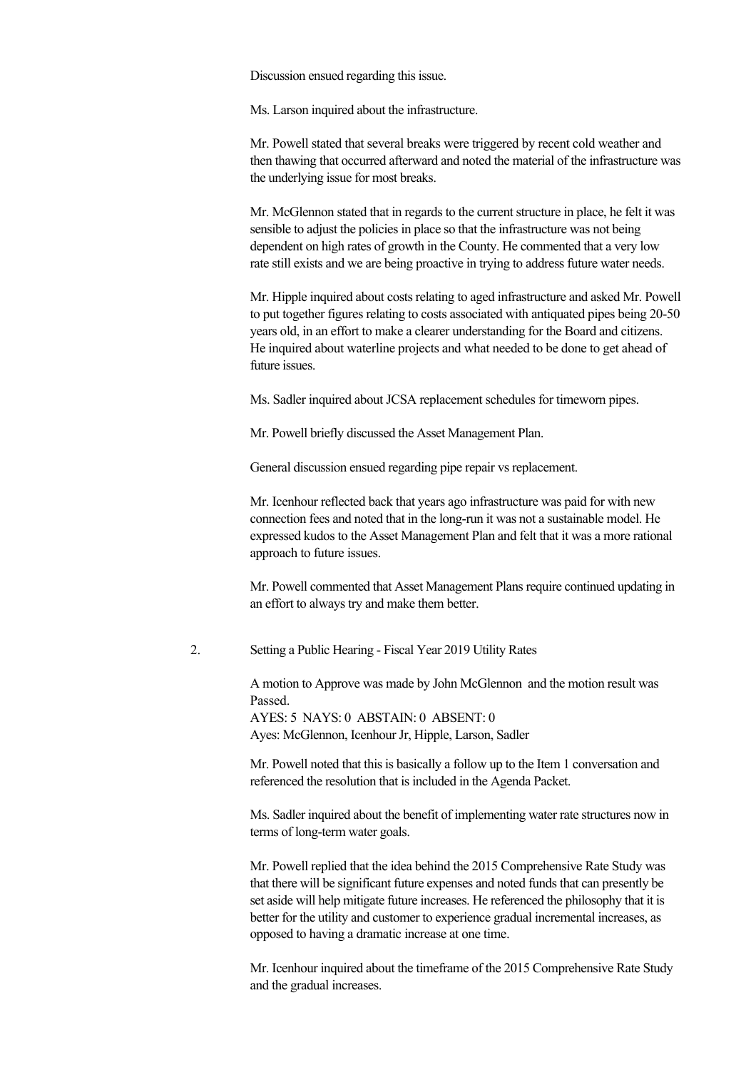Discussion ensued regarding this issue.

Ms. Larson inquired about the infrastructure.

Mr. Powell stated that several breaks were triggered by recent cold weather and then thawing that occurred afterward and noted the material of the infrastructure was the underlying issue for most breaks.

Mr. McGlennon stated that in regards to the current structure in place, he felt it was sensible to adjust the policies in place so that the infrastructure was not being dependent on high rates of growth in the County. He commented that a very low rate still exists and we are being proactive in trying to address future water needs.

Mr. Hipple inquired about costs relating to aged infrastructure and asked Mr. Powell to put together figures relating to costs associated with antiquated pipes being 20-50 years old, in an effort to make a clearer understanding for the Board and citizens. He inquired about waterline projects and what needed to be done to get ahead of future issues.

Ms. Sadler inquired about JCSA replacement schedules for timeworn pipes.

Mr. Powell briefly discussed the Asset Management Plan.

General discussion ensued regarding pipe repair vs replacement.

Mr. Icenhour reflected back that years ago infrastructure was paid for with new connection fees and noted that in the long-run it was not a sustainable model. He expressed kudos to the Asset Management Plan and felt that it was a more rational approach to future issues.

Mr. Powell commented that Asset Management Plans require continued updating in an effort to always try and make them better.

2. Setting a Public Hearing Fiscal Year 2019 Utility Rates

A motion to Approve was made by John McGlennon and the motion result was Passed.

AYES: 5 NAYS: 0 ABSTAIN: 0 ABSENT: 0 Ayes: McGlennon, Icenhour Jr, Hipple, Larson, Sadler

Mr. Powell noted that this is basically a follow up to the Item 1 conversation and referenced the resolution that is included in the Agenda Packet.

Ms. Sadler inquired about the benefit of implementing water rate structures now in terms of long-term water goals.

Mr. Powell replied that the idea behind the 2015 Comprehensive Rate Study was that there will be significant future expenses and noted funds that can presently be set aside will help mitigate future increases. He referenced the philosophy that it is better for the utility and customer to experience gradual incremental increases, as opposed to having a dramatic increase at one time.

Mr. Icenhour inquired about the timeframe of the 2015 Comprehensive Rate Study and the gradual increases.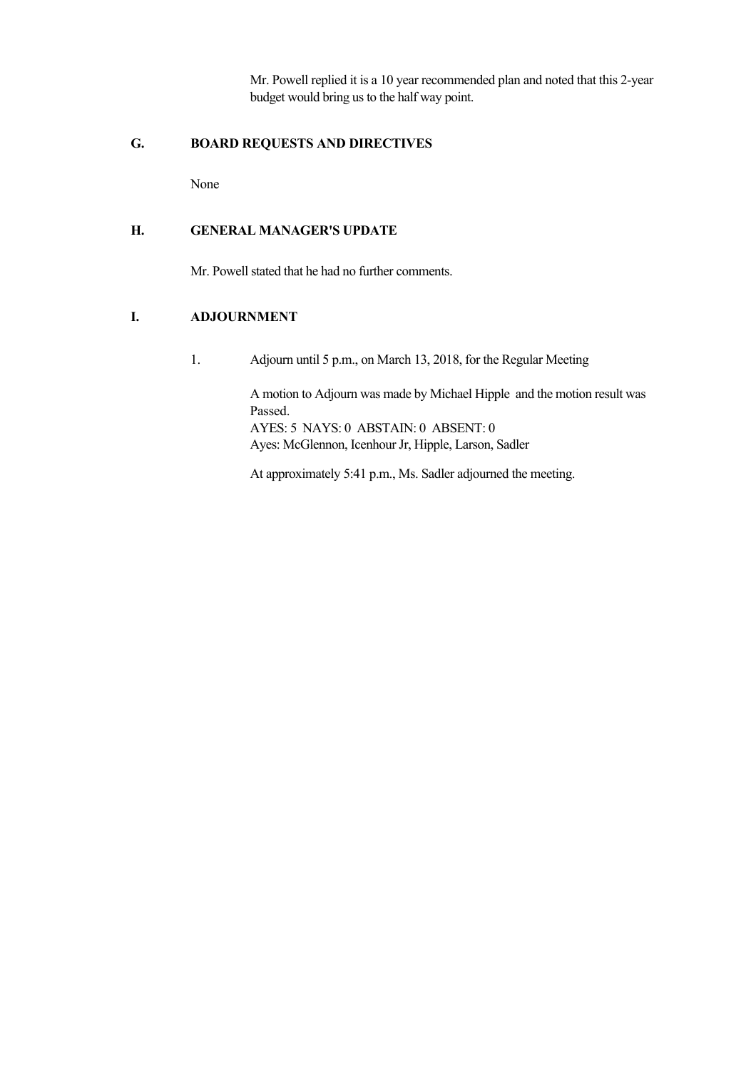Mr. Powell replied it is a 10 year recommended plan and noted that this 2-year budget would bring us to the half way point.

# **G. BOARD REQUESTS AND DIRECTIVES**

None

# **H. GENERAL MANAGER'S UPDATE**

Mr. Powell stated that he had no further comments.

# **I. ADJOURNMENT**

1. Adjourn until 5 p.m., on March 13, 2018, for the Regular Meeting

A motion to Adjourn was made by Michael Hipple and the motion result was Passed. AYES: 5 NAYS: 0 ABSTAIN: 0 ABSENT: 0 Ayes: McGlennon, Icenhour Jr, Hipple, Larson, Sadler

At approximately 5:41 p.m., Ms. Sadler adjourned the meeting.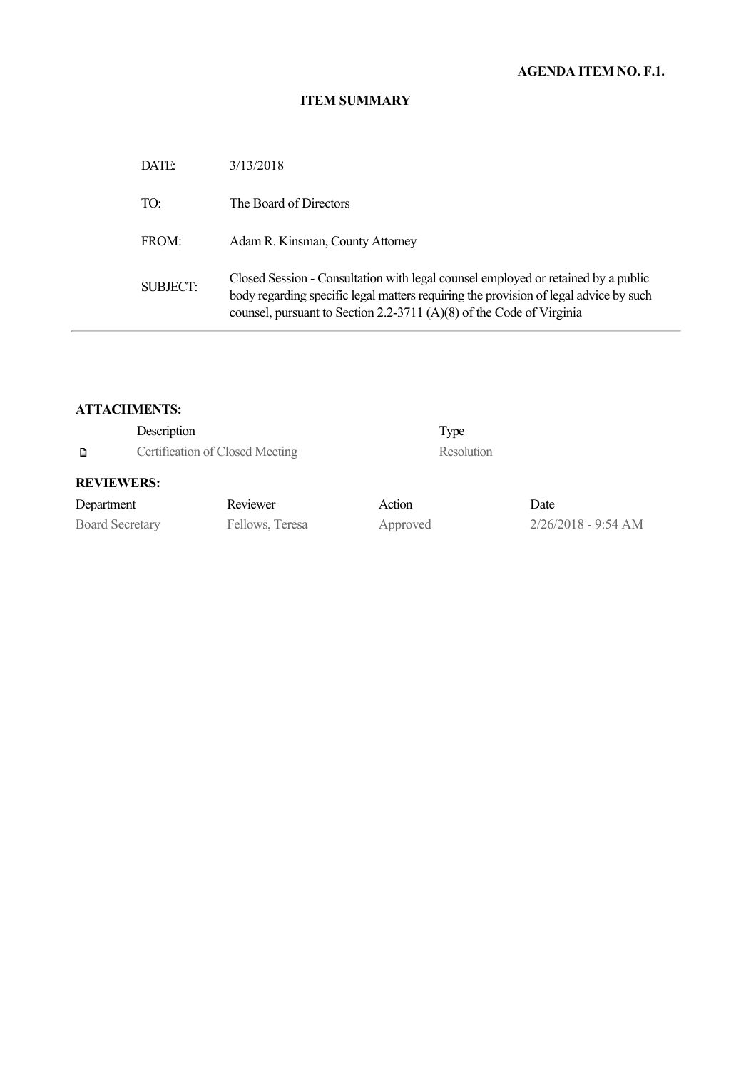# **AGENDA ITEM NO. F.1.**

#### **ITEM SUMMARY**

| DATE:           | 3/13/2018                                                                                                                                                                                                                                          |
|-----------------|----------------------------------------------------------------------------------------------------------------------------------------------------------------------------------------------------------------------------------------------------|
| TO:             | The Board of Directors                                                                                                                                                                                                                             |
| FROM:           | Adam R. Kinsman, County Attorney                                                                                                                                                                                                                   |
| <b>SUBJECT:</b> | Closed Session - Consultation with legal counsel employed or retained by a public<br>body regarding specific legal matters requiring the provision of legal advice by such<br>counsel, pursuant to Section 2.2-3711 (A)(8) of the Code of Virginia |

# **ATTACHMENTS:**

|                        | Description                     |                 |          | Type       |                       |
|------------------------|---------------------------------|-----------------|----------|------------|-----------------------|
| D                      | Certification of Closed Meeting |                 |          | Resolution |                       |
| <b>REVIEWERS:</b>      |                                 |                 |          |            |                       |
| Department             |                                 | Reviewer        | Action   |            | Date                  |
| <b>Board Secretary</b> |                                 | Fellows, Teresa | Approved |            | $2/26/2018 - 9:54 AM$ |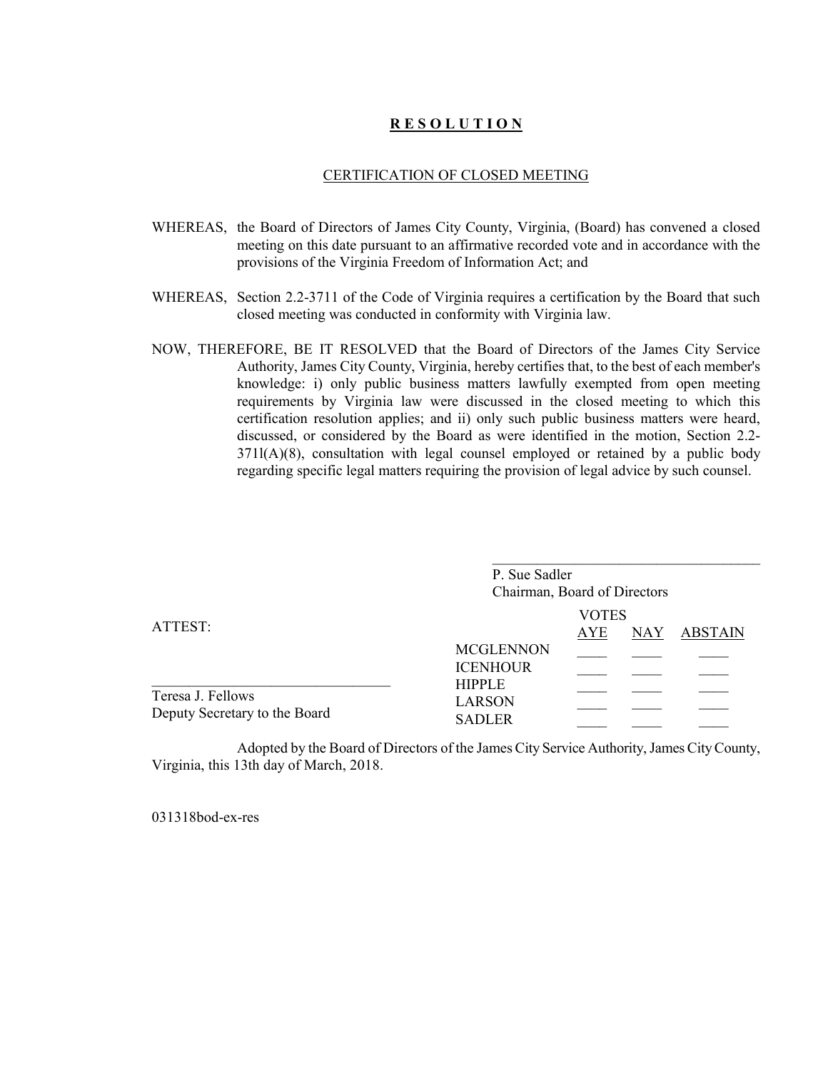# **R E S O L U T I O N**

#### CERTIFICATION OF CLOSED MEETING

- WHEREAS, the Board of Directors of James City County, Virginia, (Board) has convened a closed meeting on this date pursuant to an affirmative recorded vote and in accordance with the provisions of the Virginia Freedom of Information Act; and
- WHEREAS, Section 2.2-3711 of the Code of Virginia requires a certification by the Board that such closed meeting was conducted in conformity with Virginia law.
- NOW, THEREFORE, BE IT RESOLVED that the Board of Directors of the James City Service Authority, James City County, Virginia, hereby certifies that, to the best of each member's knowledge: i) only public business matters lawfully exempted from open meeting requirements by Virginia law were discussed in the closed meeting to which this certification resolution applies; and ii) only such public business matters were heard, discussed, or considered by the Board as were identified in the motion, Section 2.2- 371l(A)(8), consultation with legal counsel employed or retained by a public body regarding specific legal matters requiring the provision of legal advice by such counsel.

|                                                    | P. Sue Sadler<br>Chairman, Board of Directors   |                            |            |         |
|----------------------------------------------------|-------------------------------------------------|----------------------------|------------|---------|
| ATTEST:                                            |                                                 | <b>VOTES</b><br><b>AYE</b> | <b>NAY</b> | ABSTAIN |
|                                                    | <b>MCGLENNON</b><br><b>ICENHOUR</b>             |                            |            |         |
| Teresa J. Fellows<br>Deputy Secretary to the Board | <b>HIPPLE</b><br><b>LARSON</b><br><b>SADLER</b> |                            |            |         |

Adopted by the Board of Directors of the James City Service Authority, James City County, Virginia, this 13th day of March, 2018.

031318bod-ex-res